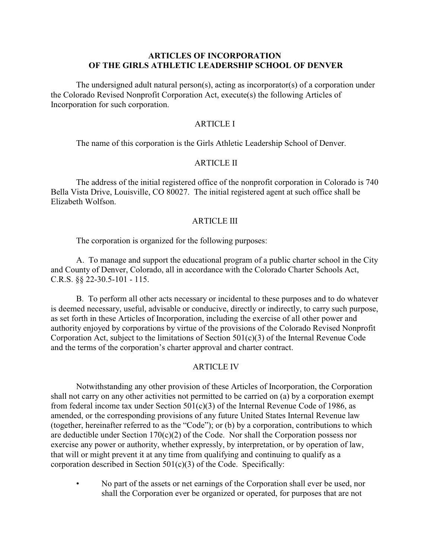### **ARTICLES OF INCORPORATION OF THE GIRLS ATHLETIC LEADERSHIP SCHOOL OF DENVER**

The undersigned adult natural person(s), acting as incorporator(s) of a corporation under the Colorado Revised Nonprofit Corporation Act, execute(s) the following Articles of Incorporation for such corporation.

## ARTICLE I

The name of this corporation is the Girls Athletic Leadership School of Denver.

## ARTICLE II

The address of the initial registered office of the nonprofit corporation in Colorado is 740 Bella Vista Drive, Louisville, CO 80027. The initial registered agent at such office shall be Elizabeth Wolfson.

#### ARTICLE III

The corporation is organized for the following purposes:

A. To manage and support the educational program of a public charter school in the City and County of Denver, Colorado, all in accordance with the Colorado Charter Schools Act, C.R.S. §§ 22-30.5-101 - 115.

B. To perform all other acts necessary or incidental to these purposes and to do whatever is deemed necessary, useful, advisable or conducive, directly or indirectly, to carry such purpose, as set forth in these Articles of Incorporation, including the exercise of all other power and authority enjoyed by corporations by virtue of the provisions of the Colorado Revised Nonprofit Corporation Act, subject to the limitations of Section 501(c)(3) of the Internal Revenue Code and the terms of the corporation's charter approval and charter contract.

#### ARTICLE IV

Notwithstanding any other provision of these Articles of Incorporation, the Corporation shall not carry on any other activities not permitted to be carried on (a) by a corporation exempt from federal income tax under Section 501(c)(3) of the Internal Revenue Code of 1986, as amended, or the corresponding provisions of any future United States Internal Revenue law (together, hereinafter referred to as the "Code"); or (b) by a corporation, contributions to which are deductible under Section  $170(c)(2)$  of the Code. Nor shall the Corporation possess nor exercise any power or authority, whether expressly, by interpretation, or by operation of law, that will or might prevent it at any time from qualifying and continuing to qualify as a corporation described in Section 501(c)(3) of the Code. Specifically:

• No part of the assets or net earnings of the Corporation shall ever be used, nor shall the Corporation ever be organized or operated, for purposes that are not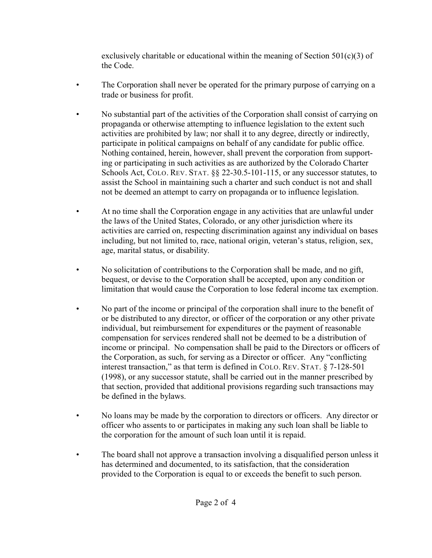exclusively charitable or educational within the meaning of Section  $501(c)(3)$  of the Code.

- The Corporation shall never be operated for the primary purpose of carrying on a trade or business for profit.
- No substantial part of the activities of the Corporation shall consist of carrying on propaganda or otherwise attempting to influence legislation to the extent such activities are prohibited by law; nor shall it to any degree, directly or indirectly, participate in political campaigns on behalf of any candidate for public office. Nothing contained, herein, however, shall prevent the corporation from supporting or participating in such activities as are authorized by the Colorado Charter Schools Act, COLO. REV. STAT. §§ 22-30.5-101-115, or any successor statutes, to assist the School in maintaining such a charter and such conduct is not and shall not be deemed an attempt to carry on propaganda or to influence legislation.
- At no time shall the Corporation engage in any activities that are unlawful under the laws of the United States, Colorado, or any other jurisdiction where its activities are carried on, respecting discrimination against any individual on bases including, but not limited to, race, national origin, veteran's status, religion, sex, age, marital status, or disability.
- No solicitation of contributions to the Corporation shall be made, and no gift, bequest, or devise to the Corporation shall be accepted, upon any condition or limitation that would cause the Corporation to lose federal income tax exemption.
- No part of the income or principal of the corporation shall inure to the benefit of or be distributed to any director, or officer of the corporation or any other private individual, but reimbursement for expenditures or the payment of reasonable compensation for services rendered shall not be deemed to be a distribution of income or principal. No compensation shall be paid to the Directors or officers of the Corporation, as such, for serving as a Director or officer. Any "conflicting interest transaction," as that term is defined in COLO. REV. STAT. § 7-128-501 (1998), or any successor statute, shall be carried out in the manner prescribed by that section, provided that additional provisions regarding such transactions may be defined in the bylaws.
- No loans may be made by the corporation to directors or officers. Any director or officer who assents to or participates in making any such loan shall be liable to the corporation for the amount of such loan until it is repaid.
- The board shall not approve a transaction involving a disqualified person unless it has determined and documented, to its satisfaction, that the consideration provided to the Corporation is equal to or exceeds the benefit to such person.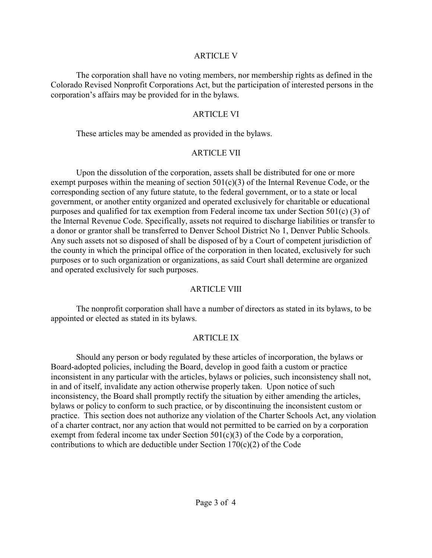### ARTICLE V

The corporation shall have no voting members, nor membership rights as defined in the Colorado Revised Nonprofit Corporations Act, but the participation of interested persons in the corporation's affairs may be provided for in the bylaws.

## ARTICLE VI

These articles may be amended as provided in the bylaws.

# ARTICLE VII

Upon the dissolution of the corporation, assets shall be distributed for one or more exempt purposes within the meaning of section 501(c)(3) of the Internal Revenue Code, or the corresponding section of any future statute, to the federal government, or to a state or local government, or another entity organized and operated exclusively for charitable or educational purposes and qualified for tax exemption from Federal income tax under Section 501(c) (3) of the Internal Revenue Code. Specifically, assets not required to discharge liabilities or transfer to a donor or grantor shall be transferred to Denver School District No 1, Denver Public Schools. Any such assets not so disposed of shall be disposed of by a Court of competent jurisdiction of the county in which the principal office of the corporation in then located, exclusively for such purposes or to such organization or organizations, as said Court shall determine are organized and operated exclusively for such purposes.

# ARTICLE VIII

The nonprofit corporation shall have a number of directors as stated in its bylaws, to be appointed or elected as stated in its bylaws.

# ARTICLE IX

Should any person or body regulated by these articles of incorporation, the bylaws or Board-adopted policies, including the Board, develop in good faith a custom or practice inconsistent in any particular with the articles, bylaws or policies, such inconsistency shall not, in and of itself, invalidate any action otherwise properly taken. Upon notice of such inconsistency, the Board shall promptly rectify the situation by either amending the articles, bylaws or policy to conform to such practice, or by discontinuing the inconsistent custom or practice. This section does not authorize any violation of the Charter Schools Act, any violation of a charter contract, nor any action that would not permitted to be carried on by a corporation exempt from federal income tax under Section 501(c)(3) of the Code by a corporation, contributions to which are deductible under Section 170(c)(2) of the Code